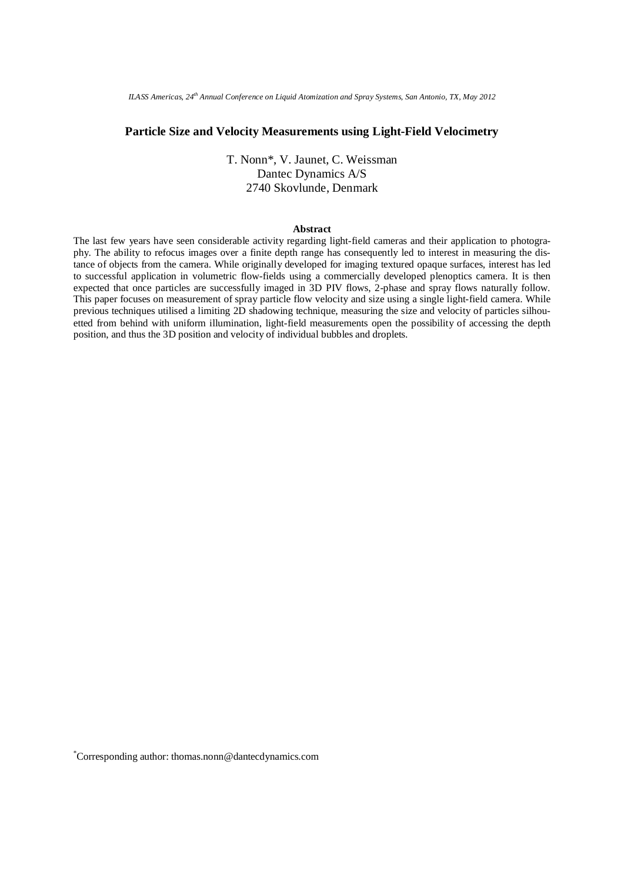*ILASS Americas, 24th Annual Conference on Liquid Atomization and Spray Systems, San Antonio, TX, May 2012* 

# **Particle Size and Velocity Measurements using Light-Field Velocimetry**

T. Nonn\*, V. Jaunet, C. Weissman Dantec Dynamics A/S 2740 Skovlunde, Denmark

#### **Abstract**

The last few years have seen considerable activity regarding light-field cameras and their application to photography. The ability to refocus images over a finite depth range has consequently led to interest in measuring the distance of objects from the camera. While originally developed for imaging textured opaque surfaces, interest has led to successful application in volumetric flow-fields using a commercially developed plenoptics camera. It is then expected that once particles are successfully imaged in 3D PIV flows, 2-phase and spray flows naturally follow. This paper focuses on measurement of spray particle flow velocity and size using a single light-field camera. While previous techniques utilised a limiting 2D shadowing technique, measuring the size and velocity of particles silhouetted from behind with uniform illumination, light-field measurements open the possibility of accessing the depth position, and thus the 3D position and velocity of individual bubbles and droplets.

\* Corresponding author: thomas.nonn@dantecdynamics.com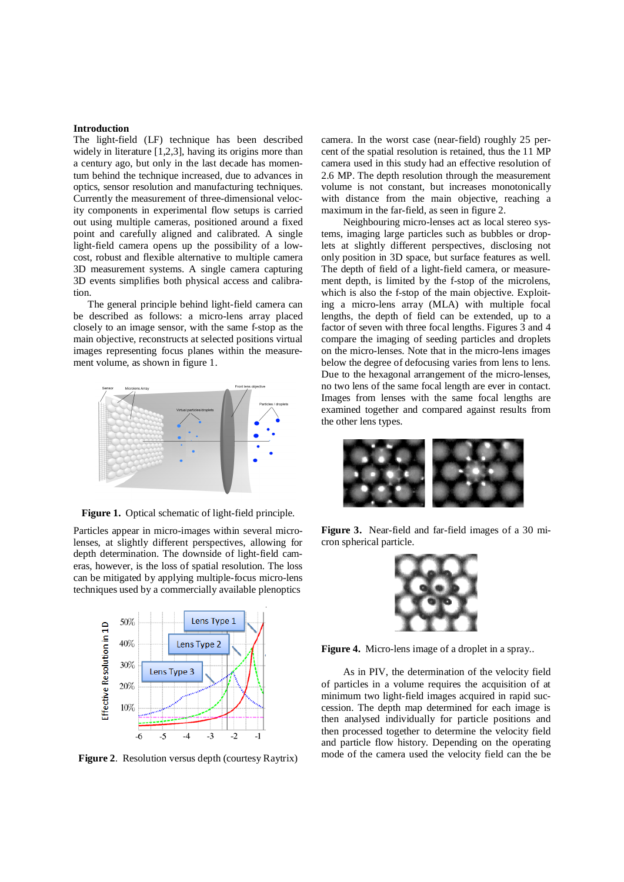#### **Introduction**

The light-field (LF) technique has been described widely in literature [1,2,3], having its origins more than a century ago, but only in the last decade has momentum behind the technique increased, due to advances in optics, sensor resolution and manufacturing techniques. Currently the measurement of three-dimensional velocity components in experimental flow setups is carried out using multiple cameras, positioned around a fixed point and carefully aligned and calibrated. A single light-field camera opens up the possibility of a lowcost, robust and flexible alternative to multiple camera 3D measurement systems. A single camera capturing 3D events simplifies both physical access and calibration.

The general principle behind light-field camera can be described as follows: a micro-lens array placed closely to an image sensor, with the same f-stop as the main objective, reconstructs at selected positions virtual images representing focus planes within the measurement volume, as shown in figure 1.



**Figure 1.** Optical schematic of light-field principle.

Particles appear in micro-images within several microlenses, at slightly different perspectives, allowing for depth determination. The downside of light-field cameras, however, is the loss of spatial resolution. The loss can be mitigated by applying multiple-focus micro-lens techniques used by a commercially available plenoptics



**Figure 2**.Resolution versus depth (courtesy Raytrix)

camera. In the worst case (near-field) roughly 25 percent of the spatial resolution is retained, thus the 11 MP camera used in this study had an effective resolution of 2.6 MP. The depth resolution through the measurement volume is not constant, but increases monotonically with distance from the main objective, reaching a maximum in the far-field, as seen in figure 2.

Neighbouring micro-lenses act as local stereo systems, imaging large particles such as bubbles or droplets at slightly different perspectives, disclosing not only position in 3D space, but surface features as well. The depth of field of a light-field camera, or measurement depth, is limited by the f-stop of the microlens, which is also the f-stop of the main objective. Exploiting a micro-lens array (MLA) with multiple focal lengths, the depth of field can be extended, up to a factor of seven with three focal lengths. Figures 3 and 4 compare the imaging of seeding particles and droplets on the micro-lenses. Note that in the micro-lens images below the degree of defocusing varies from lens to lens. Due to the hexagonal arrangement of the micro-lenses, no two lens of the same focal length are ever in contact. Images from lenses with the same focal lengths are examined together and compared against results from the other lens types.



**Figure 3.** Near-field and far-field images of a 30 micron spherical particle.



**Figure 4.** Micro-lens image of a droplet in a spray..

As in PIV, the determination of the velocity field of particles in a volume requires the acquisition of at minimum two light-field images acquired in rapid succession. The depth map determined for each image is then analysed individually for particle positions and then processed together to determine the velocity field and particle flow history. Depending on the operating mode of the camera used the velocity field can the be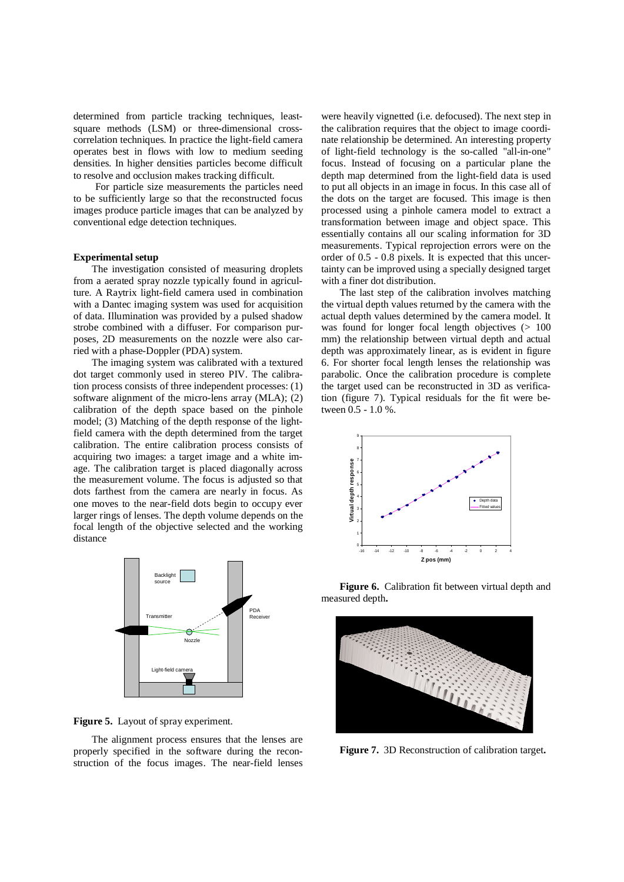determined from particle tracking techniques, leastsquare methods (LSM) or three-dimensional crosscorrelation techniques. In practice the light-field camera operates best in flows with low to medium seeding densities. In higher densities particles become difficult to resolve and occlusion makes tracking difficult.

For particle size measurements the particles need to be sufficiently large so that the reconstructed focus images produce particle images that can be analyzed by conventional edge detection techniques.

#### **Experimental setup**

The investigation consisted of measuring droplets from a aerated spray nozzle typically found in agriculture. A Raytrix light-field camera used in combination with a Dantec imaging system was used for acquisition of data. Illumination was provided by a pulsed shadow strobe combined with a diffuser. For comparison purposes, 2D measurements on the nozzle were also carried with a phase-Doppler (PDA) system.

The imaging system was calibrated with a textured dot target commonly used in stereo PIV. The calibration process consists of three independent processes: (1) software alignment of the micro-lens array (MLA); (2) calibration of the depth space based on the pinhole model; (3) Matching of the depth response of the lightfield camera with the depth determined from the target calibration. The entire calibration process consists of acquiring two images: a target image and a white image. The calibration target is placed diagonally across the measurement volume. The focus is adjusted so that dots farthest from the camera are nearly in focus. As one moves to the near-field dots begin to occupy ever larger rings of lenses. The depth volume depends on the focal length of the objective selected and the working distance



**Figure 5.** Layout of spray experiment.

The alignment process ensures that the lenses are properly specified in the software during the reconstruction of the focus images. The near-field lenses

were heavily vignetted (i.e. defocused). The next step in the calibration requires that the object to image coordinate relationship be determined. An interesting property of light-field technology is the so-called "all-in-one" focus. Instead of focusing on a particular plane the depth map determined from the light-field data is used to put all objects in an image in focus. In this case all of the dots on the target are focused. This image is then processed using a pinhole camera model to extract a transformation between image and object space. This essentially contains all our scaling information for 3D measurements. Typical reprojection errors were on the order of 0.5 - 0.8 pixels. It is expected that this uncertainty can be improved using a specially designed target with a finer dot distribution.

The last step of the calibration involves matching the virtual depth values returned by the camera with the actual depth values determined by the camera model. It was found for longer focal length objectives  $(> 100$ mm) the relationship between virtual depth and actual depth was approximately linear, as is evident in figure 6. For shorter focal length lenses the relationship was parabolic. Once the calibration procedure is complete the target used can be reconstructed in 3D as verification (figure 7). Typical residuals for the fit were between 0.5 - 1.0 %.



**Figure 6.** Calibration fit between virtual depth and measured depth**.**



**Figure 7.** 3D Reconstruction of calibration target**.**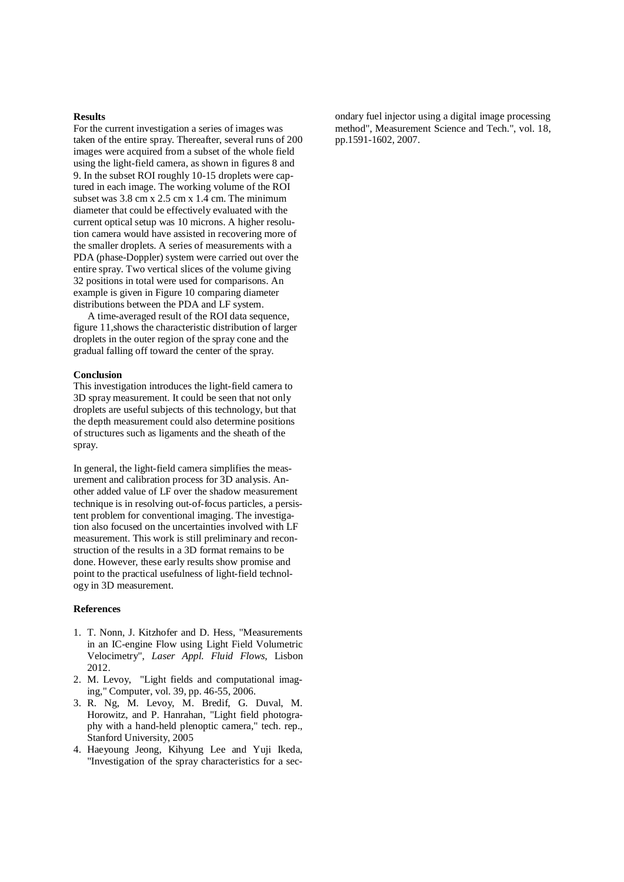### **Results**

For the current investigation a series of images was taken of the entire spray. Thereafter, several runs of 200 images were acquired from a subset of the whole field using the light-field camera, as shown in figures 8 and 9. In the subset ROI roughly 10-15 droplets were captured in each image. The working volume of the ROI subset was 3.8 cm x 2.5 cm x 1.4 cm. The minimum diameter that could be effectively evaluated with the current optical setup was 10 microns. A higher resolution camera would have assisted in recovering more of the smaller droplets. A series of measurements with a PDA (phase-Doppler) system were carried out over the entire spray. Two vertical slices of the volume giving 32 positions in total were used for comparisons. An example is given in Figure 10 comparing diameter distributions between the PDA and LF system.

A time-averaged result of the ROI data sequence, figure 11,shows the characteristic distribution of larger droplets in the outer region of the spray cone and the gradual falling off toward the center of the spray.

## **Conclusion**

This investigation introduces the light-field camera to 3D spray measurement. It could be seen that not only droplets are useful subjects of this technology, but that the depth measurement could also determine positions of structures such as ligaments and the sheath of the spray.

In general, the light-field camera simplifies the measurement and calibration process for 3D analysis. Another added value of LF over the shadow measurement technique is in resolving out-of-focus particles, a persistent problem for conventional imaging. The investigation also focused on the uncertainties involved with LF measurement. This work is still preliminary and reconstruction of the results in a 3D format remains to be done. However, these early results show promise and point to the practical usefulness of light-field technology in 3D measurement.

## **References**

- 1. T. Nonn, J. Kitzhofer and D. Hess, "Measurements in an IC-engine Flow using Light Field Volumetric Velocimetry", *Laser Appl. Fluid Flows*, Lisbon 2012.
- 2. M. Levoy, "Light fields and computational imaging," Computer, vol. 39, pp. 46-55, 2006.
- 3. R. Ng, M. Levoy, M. Bredif, G. Duval, M. Horowitz, and P. Hanrahan, "Light field photography with a hand-held plenoptic camera," tech. rep., Stanford University, 2005
- 4. Haeyoung Jeong, Kihyung Lee and Yuji Ikeda, "Investigation of the spray characteristics for a sec-

ondary fuel injector using a digital image processing method", Measurement Science and Tech.", vol. 18, pp.1591-1602, 2007.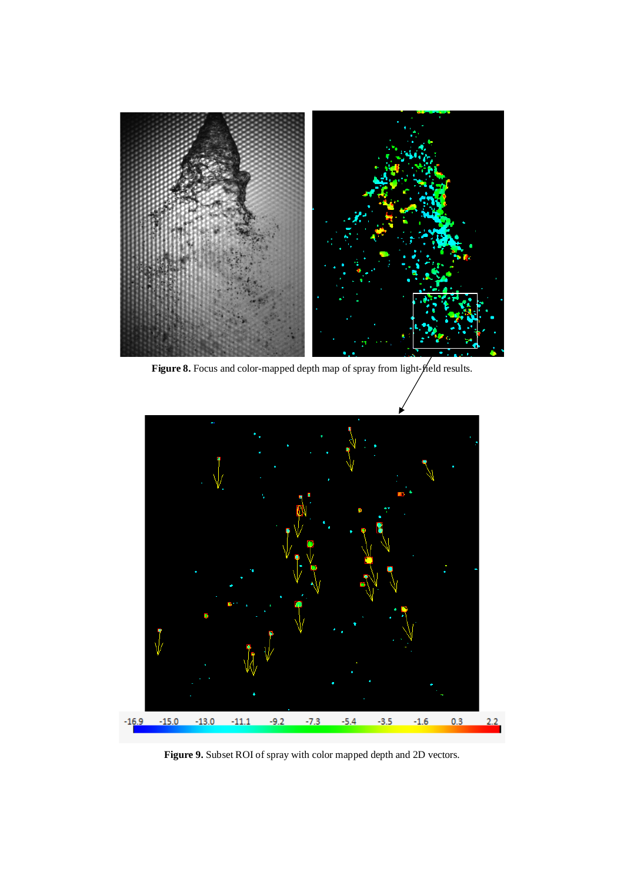

Figure 8. Focus and color-mapped depth map of spray from light- $\hat{p}$ eld results.



Figure 9. Subset ROI of spray with color mapped depth and 2D vectors.